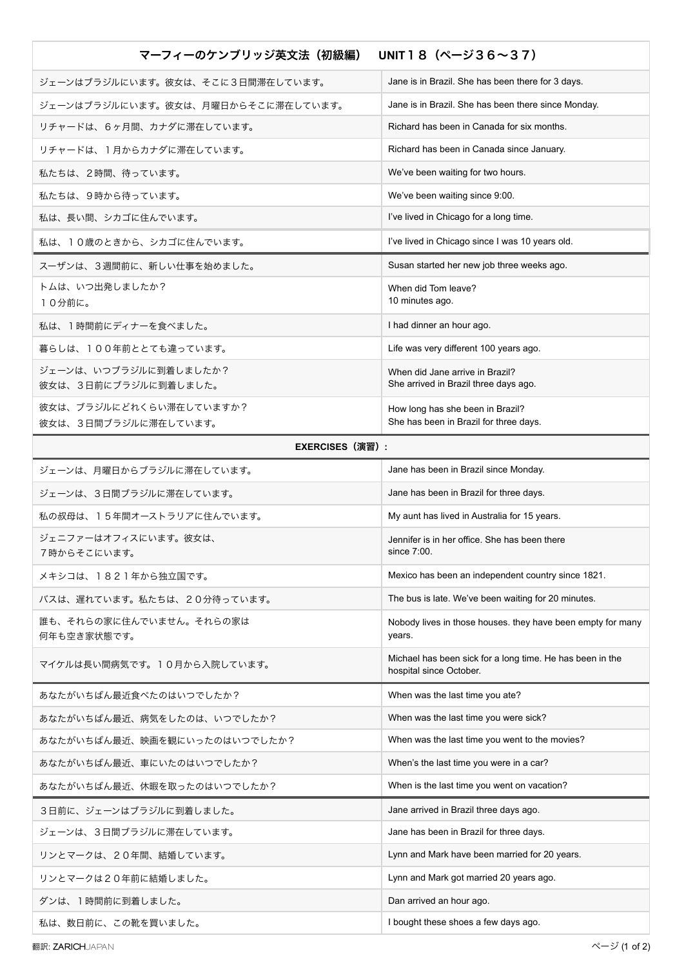| UNIT18 $(A-336-37)$<br>マーフィーのケンブリッジ英文法(初級編)     |                                                                                      |  |
|-------------------------------------------------|--------------------------------------------------------------------------------------|--|
| ジェーンはブラジルにいます。彼女は、そこに3日間滞在しています。                | Jane is in Brazil. She has been there for 3 days.                                    |  |
| ジェーンはブラジルにいます。彼女は、月曜日からそこに滞在しています。              | Jane is in Brazil. She has been there since Monday.                                  |  |
| リチャードは、6ヶ月間、カナダに滞在しています。                        | Richard has been in Canada for six months.                                           |  |
| リチャードは、1月からカナダに滞在しています。                         | Richard has been in Canada since January.                                            |  |
| 私たちは、2時間、待っています。                                | We've been waiting for two hours.                                                    |  |
| 私たちは、9時から待っています。                                | We've been waiting since 9:00.                                                       |  |
| 私は、長い間、シカゴに住んでいます。                              | I've lived in Chicago for a long time.                                               |  |
| 私は、10歳のときから、シカゴに住んでいます。                         | I've lived in Chicago since I was 10 years old.                                      |  |
| スーザンは、3週間前に、新しい仕事を始めました。                        | Susan started her new job three weeks ago.                                           |  |
| トムは、いつ出発しましたか?<br>10分前に。                        | When did Tom leave?<br>10 minutes ago.                                               |  |
| 私は、1時間前にディナーを食べました。                             | I had dinner an hour ago.                                                            |  |
| 暮らしは、100年前ととても違っています。                           | Life was very different 100 years ago.                                               |  |
| ジェーンは、いつブラジルに到着しましたか?<br>彼女は、3日前にブラジルに到着しました。   | When did Jane arrive in Brazil?<br>She arrived in Brazil three days ago.             |  |
| 彼女は、ブラジルにどれくらい滞在していますか?<br>彼女は、3日間ブラジルに滞在しています。 | How long has she been in Brazil?<br>She has been in Brazil for three days.           |  |
| <b>EXERCISES (演習):</b>                          |                                                                                      |  |
| ジェーンは、月曜日からブラジルに滞在しています。                        | Jane has been in Brazil since Monday.                                                |  |
| ジェーンは、3日間ブラジルに滞在しています。                          | Jane has been in Brazil for three days.                                              |  |
| 私の叔母は、15年間オーストラリアに住んでいます。                       | My aunt has lived in Australia for 15 years.                                         |  |
| ジェニファーはオフィスにいます。彼女は、<br>7時からそこにいます。             | Jennifer is in her office. She has been there<br>since $7:00$ .                      |  |
| メキシコは、1821年から独立国です。                             | Mexico has been an independent country since 1821.                                   |  |
| バスは、遅れています。私たちは、20分待っています。                      | The bus is late. We've been waiting for 20 minutes.                                  |  |
| 誰も、それらの家に住んでいません。それらの家は<br>何年も空き家状態です。          | Nobody lives in those houses. they have been empty for many<br>years.                |  |
| マイケルは長い間病気です。10月から入院しています。                      | Michael has been sick for a long time. He has been in the<br>hospital since October. |  |
| あなたがいちばん最近食べたのはいつでしたか?                          | When was the last time you ate?                                                      |  |
| あなたがいちばん最近、病気をしたのは、いつでしたか?                      | When was the last time you were sick?                                                |  |
| あなたがいちばん最近、映画を観にいったのはいつでしたか?                    | When was the last time you went to the movies?                                       |  |
| あなたがいちばん最近、車にいたのはいつでしたか?                        | When's the last time you were in a car?                                              |  |
| あなたがいちばん最近、休暇を取ったのはいつでしたか?                      | When is the last time you went on vacation?                                          |  |
| 3日前に、ジェーンはブラジルに到着しました。                          | Jane arrived in Brazil three days ago.                                               |  |
| ジェーンは、3日間ブラジルに滞在しています。                          | Jane has been in Brazil for three days.                                              |  |
| リンとマークは、20年間、結婚しています。                           | Lynn and Mark have been married for 20 years.                                        |  |
| リンとマークは20年前に結婚しました。                             | Lynn and Mark got married 20 years ago.                                              |  |
| ダンは、1時間前に到着しました。                                | Dan arrived an hour ago.                                                             |  |
| 私は、数日前に、この靴を買いました。                              | I bought these shoes a few days ago.                                                 |  |